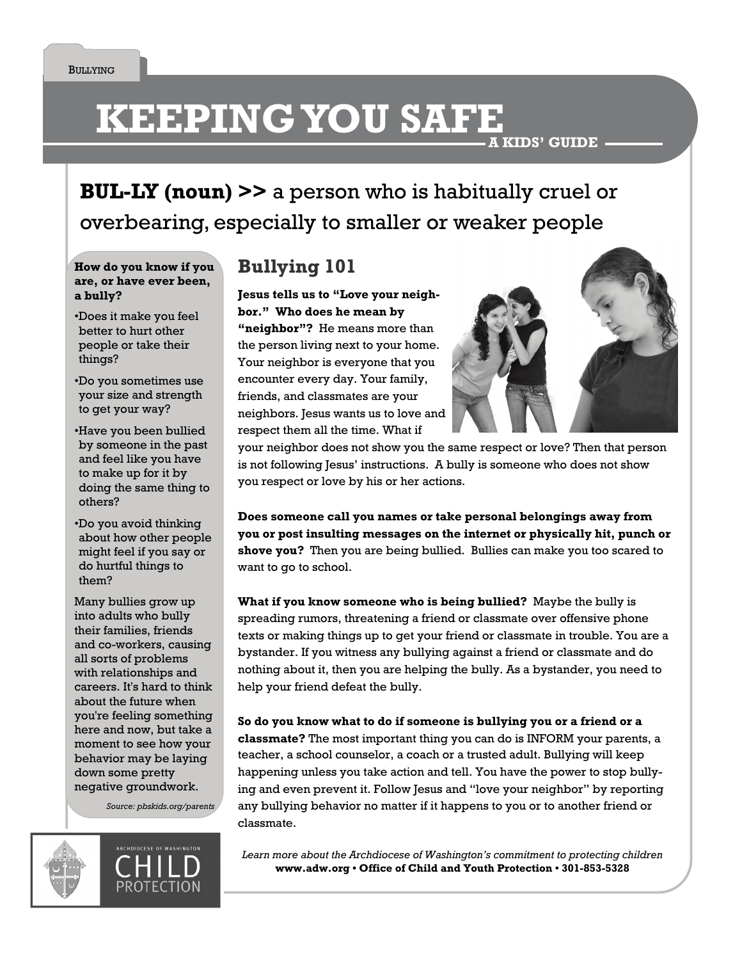# **KEEPING YOU SAFE A KIDS' GUIDE**

**BUL-LY (noun) >>** a person who is habitually cruel or overbearing, especially to smaller or weaker people

**How do you know if you are, or have ever been, a bully?** 

- Does it make you feel better to hurt other people or take their things?
- Do you sometimes use your size and strength to get your way?
- Have you been bullied by someone in the past and feel like you have to make up for it by doing the same thing to others?
- Do you avoid thinking about how other people might feel if you say or do hurtful things to them?

Many bullies grow up into adults who bully their families, friends and co-workers, causing all sorts of problems with relationships and careers. It's hard to think about the future when you're feeling something here and now, but take a moment to see how your behavior may be laying down some pretty negative groundwork.

*Source: pbskids.org/parents* 





## **Bullying 101**

**Jesus tells us to "Love your neighbor." Who does he mean by "neighbor"?** He means more than the person living next to your home. Your neighbor is everyone that you encounter every day. Your family, friends, and classmates are your neighbors. Jesus wants us to love and respect them all the time. What if



your neighbor does not show you the same respect or love? Then that person is not following Jesus' instructions. A bully is someone who does not show you respect or love by his or her actions.

**Does someone call you names or take personal belongings away from you or post insulting messages on the internet or physically hit, punch or shove you?** Then you are being bullied. Bullies can make you too scared to want to go to school.

**What if you know someone who is being bullied?** Maybe the bully is spreading rumors, threatening a friend or classmate over offensive phone texts or making things up to get your friend or classmate in trouble. You are a bystander. If you witness any bullying against a friend or classmate and do nothing about it, then you are helping the bully. As a bystander, you need to help your friend defeat the bully.

**So do you know what to do if someone is bullying you or a friend or a classmate?** The most important thing you can do is INFORM your parents, a teacher, a school counselor, a coach or a trusted adult. Bullying will keep happening unless you take action and tell. You have the power to stop bullying and even prevent it. Follow Jesus and "love your neighbor" by reporting any bullying behavior no matter if it happens to you or to another friend or classmate.

Learn more about the Archdiocese of Washington's commitment to protecting children **www.adw.org • Office of Child and Youth Protection • 301-853-5328**